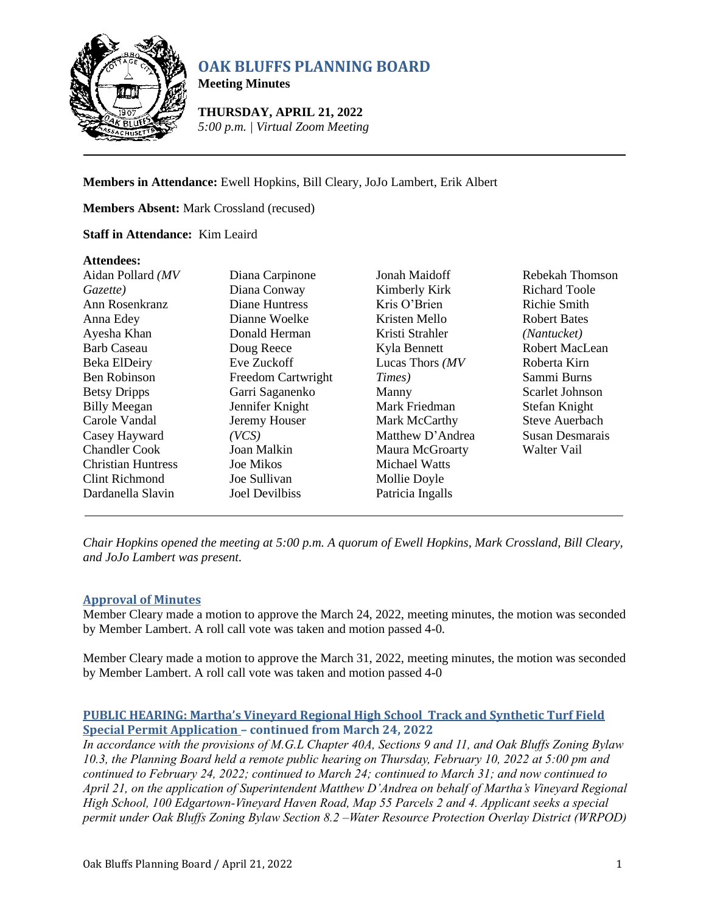

# **OAK BLUFFS PLANNING BOARD**

**Meeting Minutes**

**THURSDAY, APRIL 21, 2022** *5:00 p.m. | Virtual Zoom Meeting*

**Members in Attendance:** Ewell Hopkins, Bill Cleary, JoJo Lambert, Erik Albert

**Members Absent:** Mark Crossland (recused)

## **Staff in Attendance:** Kim Leaird

#### **Attendees:**

| Aidan Pollard (MV         | Diana Carpinone    | <b>Jonah Maidoff</b> | Rebekah Thomson      |
|---------------------------|--------------------|----------------------|----------------------|
| Gazette)                  | Diana Conway       | Kimberly Kirk        | <b>Richard Toole</b> |
| Ann Rosenkranz            | Diane Huntress     | Kris O'Brien         | Richie Smith         |
| Anna Edey                 | Dianne Woelke      | Kristen Mello        | <b>Robert Bates</b>  |
| Ayesha Khan               | Donald Herman      | Kristi Strahler      | (Nantucket)          |
| <b>Barb Caseau</b>        | Doug Reece         | Kyla Bennett         | Robert MacLean       |
| Beka ElDeiry              | Eve Zuckoff        | Lucas Thors $(MV)$   | Roberta Kirn         |
| Ben Robinson              | Freedom Cartwright | Times)               | Sammi Burns          |
| <b>Betsy Dripps</b>       | Garri Saganenko    | Manny                | Scarlet Johnson      |
| <b>Billy Meegan</b>       | Jennifer Knight    | Mark Friedman        | Stefan Knight        |
| Carole Vandal             | Jeremy Houser      | Mark McCarthy        | Steve Auerbach       |
| Casey Hayward             | (VCS)              | Matthew D'Andrea     | Susan Desmarais      |
| <b>Chandler Cook</b>      | Joan Malkin        | Maura McGroarty      | Walter Vail          |
| <b>Christian Huntress</b> | Joe Mikos          | Michael Watts        |                      |
| Clint Richmond            | Joe Sullivan       | Mollie Doyle         |                      |
| Dardanella Slavin         | Joel Devilbiss     | Patricia Ingalls     |                      |

*Chair Hopkins opened the meeting at 5:00 p.m. A quorum of Ewell Hopkins, Mark Crossland, Bill Cleary, and JoJo Lambert was present.*

# **Approval of Minutes**

Member Cleary made a motion to approve the March 24, 2022, meeting minutes, the motion was seconded by Member Lambert. A roll call vote was taken and motion passed 4-0*.*

Member Cleary made a motion to approve the March 31, 2022, meeting minutes, the motion was seconded by Member Lambert. A roll call vote was taken and motion passed 4-0

# **PUBLIC HEARING: Martha's Vineyard Regional High School Track and Synthetic Turf Field Special Permit Application – continued from March 24, 2022**

*In accordance with the provisions of M.G.L Chapter 40A, Sections 9 and 11, and Oak Bluffs Zoning Bylaw 10.3, the Planning Board held a remote public hearing on Thursday, February 10, 2022 at 5:00 pm and continued to February 24, 2022; continued to March 24; continued to March 31; and now continued to April 21, on the application of Superintendent Matthew D'Andrea on behalf of Martha's Vineyard Regional High School, 100 Edgartown-Vineyard Haven Road, Map 55 Parcels 2 and 4. Applicant seeks a special permit under Oak Bluffs Zoning Bylaw Section 8.2 –Water Resource Protection Overlay District (WRPOD)*